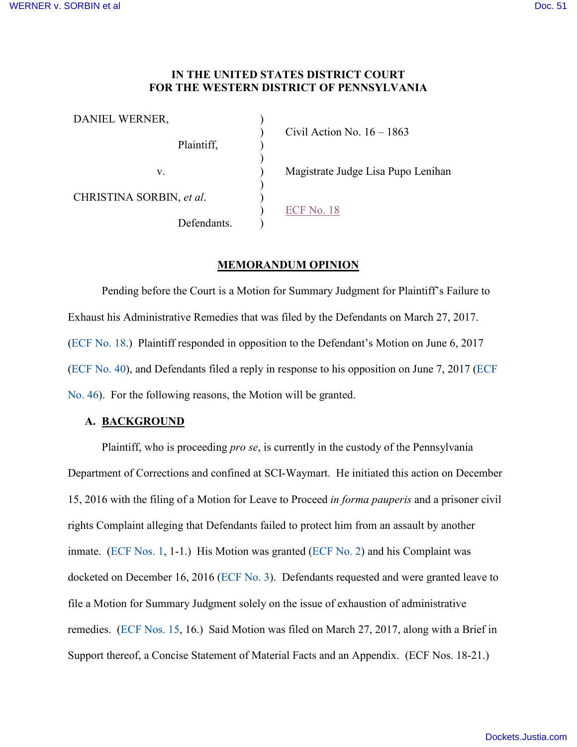# **IN THE UNITED STATES DISTRICT COURT FOR THE WESTERN DISTRICT OF PENNSYLVANIA**

| DANIEL WERNER,           |                                    |
|--------------------------|------------------------------------|
| Plaintiff,               | Civil Action No. $16 - 1863$       |
| V.                       | Magistrate Judge Lisa Pupo Lenihan |
| CHRISTINA SORBIN, et al. |                                    |
| Defendants.              | ECF No. 18                         |

## **MEMORANDUM OPINION**

 Pending before the Court is a Motion for Summary Judgment for Plaintiff's Failure to Exhaust his Administrative Remedies that was filed by the Defendants on March 27, 2017. [\(ECF No. 18.](https://ecf.pawd.uscourts.gov/doc1/15715634737)) Plaintiff responded in opposition to the Defendant's Motion on June 6, 2017 [\(ECF No. 40\)](https://ecf.pawd.uscourts.gov/doc1/15715732038), and Defendants filed a reply in response to his opposition on June 7, 2017 [\(ECF](https://ecf.pawd.uscourts.gov/doc1/15715733045)  [No. 46\)](https://ecf.pawd.uscourts.gov/doc1/15715733045). For the following reasons, the Motion will be granted.

### **A. BACKGROUND**

Plaintiff, who is proceeding *pro se*, is currently in the custody of the Pennsylvania Department of Corrections and confined at SCI-Waymart. He initiated this action on December 15, 2016 with the filing of a Motion for Leave to Proceed *in forma pauperis* and a prisoner civil rights Complaint alleging that Defendants failed to protect him from an assault by another inmate. [\(ECF Nos. 1,](https://ecf.pawd.uscourts.gov/doc1/15715499940) 1-1.) His Motion was granted [\(ECF No. 2\)](https://ecf.pawd.uscourts.gov/doc1/15715501585) and his Complaint was docketed on December 16, 2016 [\(ECF No. 3\)](https://ecf.pawd.uscourts.gov/doc1/15715501923). Defendants requested and were granted leave to file a Motion for Summary Judgment solely on the issue of exhaustion of administrative remedies. [\(ECF Nos. 15,](https://ecf.pawd.uscourts.gov/doc1/15715613474) 16.) Said Motion was filed on March 27, 2017, along with a Brief in Support thereof, a Concise Statement of Material Facts and an Appendix. (ECF Nos. 18-21.)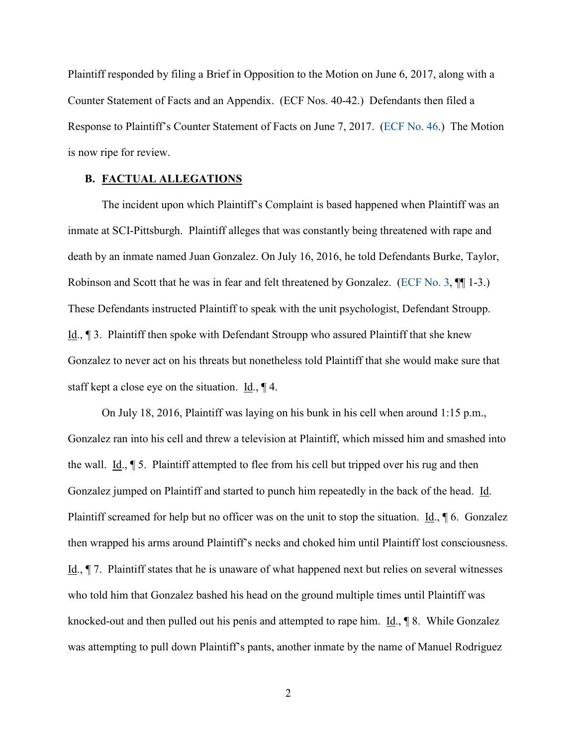Plaintiff responded by filing a Brief in Opposition to the Motion on June 6, 2017, along with a Counter Statement of Facts and an Appendix. (ECF Nos. 40-42.) Defendants then filed a Response to Plaintiff's Counter Statement of Facts on June 7, 2017. [\(ECF No. 46.](https://ecf.pawd.uscourts.gov/doc1/15715733045)) The Motion is now ripe for review.

## **B. FACTUAL ALLEGATIONS**

 The incident upon which Plaintiff's Complaint is based happened when Plaintiff was an inmate at SCI-Pittsburgh. Plaintiff alleges that was constantly being threatened with rape and death by an inmate named Juan Gonzalez. On July 16, 2016, he told Defendants Burke, Taylor, Robinson and Scott that he was in fear and felt threatened by Gonzalez. [\(ECF No. 3,](https://ecf.pawd.uscourts.gov/doc1/15715501923) ¶¶ 1-3.) These Defendants instructed Plaintiff to speak with the unit psychologist, Defendant Stroupp. Id., ¶ 3. Plaintiff then spoke with Defendant Stroupp who assured Plaintiff that she knew Gonzalez to never act on his threats but nonetheless told Plaintiff that she would make sure that staff kept a close eye on the situation. Id.,  $\P$  4.

 On July 18, 2016, Plaintiff was laying on his bunk in his cell when around 1:15 p.m., Gonzalez ran into his cell and threw a television at Plaintiff, which missed him and smashed into the wall. Id., ¶ 5. Plaintiff attempted to flee from his cell but tripped over his rug and then Gonzalez jumped on Plaintiff and started to punch him repeatedly in the back of the head. Id. Plaintiff screamed for help but no officer was on the unit to stop the situation. Id.,  $\oint$  6. Gonzalez then wrapped his arms around Plaintiff's necks and choked him until Plaintiff lost consciousness. Id., ¶ 7. Plaintiff states that he is unaware of what happened next but relies on several witnesses who told him that Gonzalez bashed his head on the ground multiple times until Plaintiff was knocked-out and then pulled out his penis and attempted to rape him. Id., ¶ 8. While Gonzalez was attempting to pull down Plaintiff's pants, another inmate by the name of Manuel Rodriguez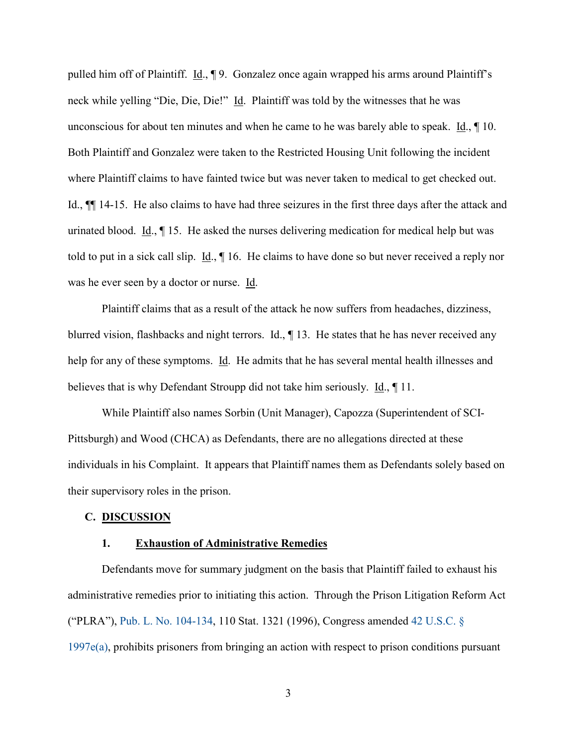pulled him off of Plaintiff. Id., ¶ 9. Gonzalez once again wrapped his arms around Plaintiff's neck while yelling "Die, Die, Die!" Id. Plaintiff was told by the witnesses that he was unconscious for about ten minutes and when he came to he was barely able to speak. Id., ¶ 10. Both Plaintiff and Gonzalez were taken to the Restricted Housing Unit following the incident where Plaintiff claims to have fainted twice but was never taken to medical to get checked out. Id., ¶¶ 14-15. He also claims to have had three seizures in the first three days after the attack and urinated blood. Id., ¶ 15. He asked the nurses delivering medication for medical help but was told to put in a sick call slip.  $\underline{Id}$ .,  $\P$  16. He claims to have done so but never received a reply nor was he ever seen by a doctor or nurse. Id.

Plaintiff claims that as a result of the attack he now suffers from headaches, dizziness, blurred vision, flashbacks and night terrors. Id., ¶ 13. He states that he has never received any help for any of these symptoms. Id. He admits that he has several mental health illnesses and believes that is why Defendant Stroupp did not take him seriously. <u>Id.</u>, 11.

While Plaintiff also names Sorbin (Unit Manager), Capozza (Superintendent of SCI-Pittsburgh) and Wood (CHCA) as Defendants, there are no allegations directed at these individuals in his Complaint. It appears that Plaintiff names them as Defendants solely based on their supervisory roles in the prison.

#### **C. DISCUSSION**

## **1. Exhaustion of Administrative Remedies**

Defendants move for summary judgment on the basis that Plaintiff failed to exhaust his administrative remedies prior to initiating this action. Through the Prison Litigation Reform Act ("PLRA"), [Pub. L. No. 104-134,](http://www.westlaw.com/Find/default.wl?rs=kmfn4.8&vr=2.0&kmvr=2.6&FindType=Y&cite=USPL104-134&kmsource=da3.0) 110 Stat. 1321 (1996), Congress amended [42 U.S.C. §](http://www.westlaw.com/Find/default.wl?rs=kmfn4.8&vr=2.0&kmvr=2.6&FindType=L&DB=1000546&DocName=42USCAS1997E&kmsource=da3.0)  [1997e\(a\),](http://www.westlaw.com/Find/default.wl?rs=kmfn4.8&vr=2.0&kmvr=2.6&FindType=L&DB=1000546&DocName=42USCAS1997E&kmsource=da3.0) prohibits prisoners from bringing an action with respect to prison conditions pursuant

3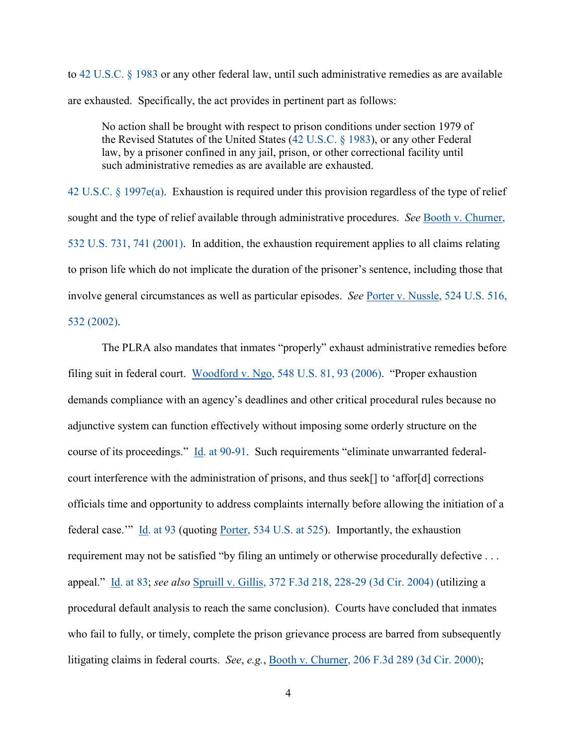to [42 U.S.C. § 1983](http://www.westlaw.com/Find/default.wl?rs=kmfn4.8&vr=2.0&kmvr=2.6&FindType=L&DB=1000546&DocName=42USCAS1983&kmsource=da3.0) or any other federal law, until such administrative remedies as are available are exhausted. Specifically, the act provides in pertinent part as follows:

No action shall be brought with respect to prison conditions under section 1979 of the Revised Statutes of the United States [\(42 U.S.C. § 1983\)](http://www.westlaw.com/Find/default.wl?rs=kmfn4.8&vr=2.0&kmvr=2.6&FindType=L&DB=1000546&DocName=42USCAS1983&kmsource=da3.0), or any other Federal law, by a prisoner confined in any jail, prison, or other correctional facility until such administrative remedies as are available are exhausted.

[42 U.S.C. § 1997e\(a\).](http://www.westlaw.com/Find/default.wl?rs=kmfn4.8&vr=2.0&kmvr=2.6&FindType=L&DB=1000546&DocName=42USCAS1997E&kmsource=da3.0) Exhaustion is required under this provision regardless of the type of relief sought and the type of relief available through administrative procedures. *See* [Booth v. Churner,](http://www.westlaw.com/Find/default.wl?rs=kmfn4.8&vr=2.0&kmvr=2.6&FindType=Y&DB=0000780&serialnum=2001440937&kmsource=da3.0)  [532 U.S. 731, 741 \(2001\).](http://www.westlaw.com/Find/default.wl?rs=kmfn4.8&vr=2.0&kmvr=2.6&FindType=Y&DB=0000780&serialnum=2001440937&kmsource=da3.0) In addition, the exhaustion requirement applies to all claims relating to prison life which do not implicate the duration of the prisoner's sentence, including those that involve general circumstances as well as particular episodes. *See* [Porter v. Nussle, 524 U.S. 516,](http://www.westlaw.com/Find/default.wl?rs=kmfn4.8&vr=2.0&kmvr=2.6&FindType=Y&cite=524US516&kmsource=da3.0)  [532 \(2002\).](http://www.westlaw.com/Find/default.wl?rs=kmfn4.8&vr=2.0&kmvr=2.6&FindType=Y&cite=524US516&kmsource=da3.0)

The PLRA also mandates that inmates "properly" exhaust administrative remedies before filing suit in federal court. [Woodford v. Ngo, 548 U.S. 81, 93 \(2006\).](http://www.westlaw.com/Find/default.wl?rs=kmfn4.8&vr=2.0&kmvr=2.6&FindType=Y&DB=0000780&serialnum=2009404743&kmsource=da3.0) "Proper exhaustion demands compliance with an agency's deadlines and other critical procedural rules because no adjunctive system can function effectively without imposing some orderly structure on the course of its proceedings." [Id. at 90-91.](http://www.westlaw.com/Find/default.wl?rs=kmfn4.8&vr=2.0&kmvr=2.6&FindType=Y&DB=0000780&serialnum=2009404743&kmsource=da3.0) Such requirements "eliminate unwarranted federalcourt interference with the administration of prisons, and thus seek[] to 'affor[d] corrections officials time and opportunity to address complaints internally before allowing the initiation of a federal case." [Id. at 93](http://www.westlaw.com/Find/default.wl?rs=kmfn4.8&vr=2.0&kmvr=2.6&FindType=Y&DB=0000780&serialnum=2009404743&kmsource=da3.0) (quoting [Porter, 534 U.S. at 525\)](http://www.westlaw.com/Find/default.wl?rs=kmfn4.8&vr=2.0&kmvr=2.6&FindType=Y&DB=0000780&serialnum=2002142890&kmsource=da3.0). Importantly, the exhaustion requirement may not be satisfied "by filing an untimely or otherwise procedurally defective . . . appeal." [Id. at 83;](http://www.westlaw.com/Find/default.wl?rs=kmfn4.8&vr=2.0&kmvr=2.6&FindType=Y&DB=0000780&serialnum=2009404743&kmsource=da3.0) *see also* [Spruill v. Gillis, 372 F.3d 218, 228-29 \(3d Cir. 2004\)](http://www.westlaw.com/Find/default.wl?rs=kmfn4.8&vr=2.0&kmvr=2.6&FindType=Y&DB=0000506&serialnum=2004607807&kmsource=da3.0) (utilizing a procedural default analysis to reach the same conclusion). Courts have concluded that inmates who fail to fully, or timely, complete the prison grievance process are barred from subsequently litigating claims in federal courts. *See*, *e.g.*, [Booth v. Churner, 206 F.3d 289 \(3d Cir. 2000\);](http://www.westlaw.com/Find/default.wl?rs=kmfn4.8&vr=2.0&kmvr=2.6&FindType=Y&DB=0000506&serialnum=2000068884&kmsource=da3.0)

4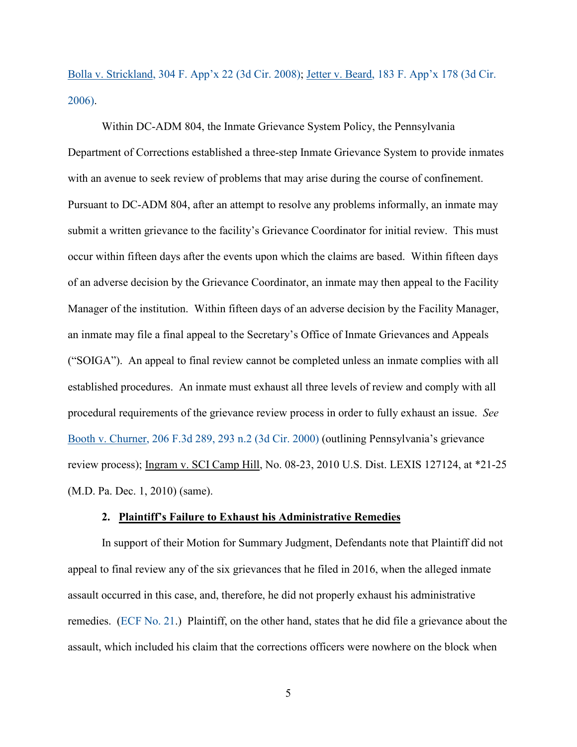[Bolla v. Strickland, 304 F. App'x 22 \(3d Cir. 2008\);](http://www.westlaw.com/Find/default.wl?rs=kmfn4.8&vr=2.0&kmvr=2.6&FindType=Y&DB=0006538&serialnum=2017720007&kmsource=da3.0) [Jetter v. Beard, 183 F. App'x 178 \(3d Cir.](http://www.westlaw.com/Find/default.wl?rs=kmfn4.8&vr=2.0&kmvr=2.6&FindType=Y&DB=0006538&serialnum=2009272387&kmsource=da3.0)  [2006\).](http://www.westlaw.com/Find/default.wl?rs=kmfn4.8&vr=2.0&kmvr=2.6&FindType=Y&DB=0006538&serialnum=2009272387&kmsource=da3.0)

Within DC-ADM 804, the Inmate Grievance System Policy, the Pennsylvania Department of Corrections established a three-step Inmate Grievance System to provide inmates with an avenue to seek review of problems that may arise during the course of confinement. Pursuant to DC-ADM 804, after an attempt to resolve any problems informally, an inmate may submit a written grievance to the facility's Grievance Coordinator for initial review. This must occur within fifteen days after the events upon which the claims are based. Within fifteen days of an adverse decision by the Grievance Coordinator, an inmate may then appeal to the Facility Manager of the institution. Within fifteen days of an adverse decision by the Facility Manager, an inmate may file a final appeal to the Secretary's Office of Inmate Grievances and Appeals ("SOIGA"). An appeal to final review cannot be completed unless an inmate complies with all established procedures. An inmate must exhaust all three levels of review and comply with all procedural requirements of the grievance review process in order to fully exhaust an issue. *See* [Booth v. Churner, 206 F.3d 289, 293 n.2 \(3d Cir. 2000\)](http://www.westlaw.com/Find/default.wl?rs=kmfn4.8&vr=2.0&kmvr=2.6&FindType=Y&DB=0000506&serialnum=2000068884&kmsource=da3.0) (outlining Pennsylvania's grievance review process); Ingram v. SCI Camp Hill, No. 08-23, 2010 U.S. Dist. LEXIS 127124, at \*21-25 (M.D. Pa. Dec. 1, 2010) (same).

#### **2. Plaintiff's Failure to Exhaust his Administrative Remedies**

In support of their Motion for Summary Judgment, Defendants note that Plaintiff did not appeal to final review any of the six grievances that he filed in 2016, when the alleged inmate assault occurred in this case, and, therefore, he did not properly exhaust his administrative remedies. [\(ECF No. 21.](https://ecf.pawd.uscourts.gov/doc1/15715634750)) Plaintiff, on the other hand, states that he did file a grievance about the assault, which included his claim that the corrections officers were nowhere on the block when

5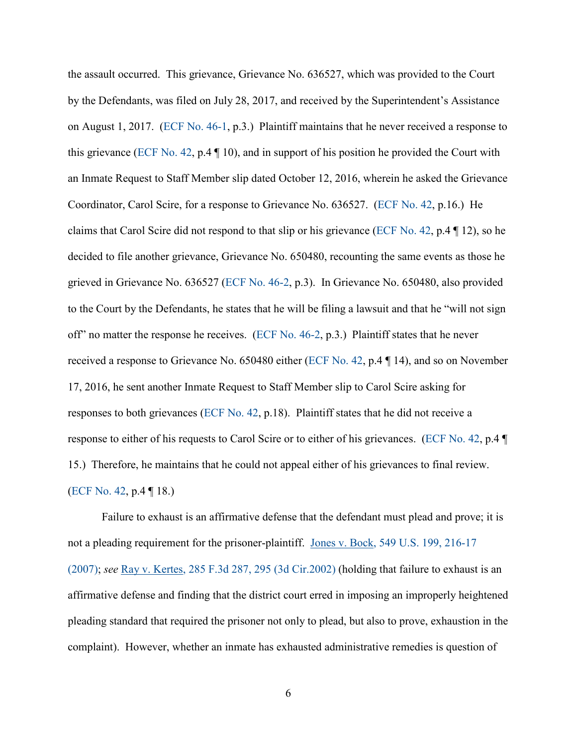the assault occurred. This grievance, Grievance No. 636527, which was provided to the Court by the Defendants, was filed on July 28, 2017, and received by the Superintendent's Assistance on August 1, 2017. [\(ECF No. 46-1,](https://ecf.pawd.uscourts.gov/doc1/15715733046) p.3.) Plaintiff maintains that he never received a response to this grievance [\(ECF No. 42,](https://ecf.pawd.uscourts.gov/doc1/15715732072) p.4  $\P$  10), and in support of his position he provided the Court with an Inmate Request to Staff Member slip dated October 12, 2016, wherein he asked the Grievance Coordinator, Carol Scire, for a response to Grievance No. 636527. [\(ECF No. 42,](https://ecf.pawd.uscourts.gov/doc1/15715732072) p.16.) He claims that Carol Scire did not respond to that slip or his grievance [\(ECF No. 42,](https://ecf.pawd.uscourts.gov/doc1/15715732072) p.4 ¶ 12), so he decided to file another grievance, Grievance No. 650480, recounting the same events as those he grieved in Grievance No. 636527 [\(ECF No. 46-2,](https://ecf.pawd.uscourts.gov/doc1/15715733047) p.3). In Grievance No. 650480, also provided to the Court by the Defendants, he states that he will be filing a lawsuit and that he "will not sign off" no matter the response he receives. [\(ECF No. 46-2,](https://ecf.pawd.uscourts.gov/doc1/15715733047) p.3.) Plaintiff states that he never received a response to Grievance No. 650480 either [\(ECF No. 42,](https://ecf.pawd.uscourts.gov/doc1/15715732072) p.4 ¶ 14), and so on November 17, 2016, he sent another Inmate Request to Staff Member slip to Carol Scire asking for responses to both grievances [\(ECF No. 42,](https://ecf.pawd.uscourts.gov/doc1/15715732072) p.18). Plaintiff states that he did not receive a response to either of his requests to Carol Scire or to either of his grievances. [\(ECF No. 42,](https://ecf.pawd.uscourts.gov/doc1/15715732072) p.4 ¶ 15.) Therefore, he maintains that he could not appeal either of his grievances to final review. [\(ECF No. 42,](https://ecf.pawd.uscourts.gov/doc1/15715732072) p.4 ¶ 18.)

Failure to exhaust is an affirmative defense that the defendant must plead and prove; it is not a pleading requirement for the prisoner-plaintiff. [Jones v. Bock, 549 U.S. 199, 216-17](http://www.westlaw.com/Find/default.wl?rs=kmfn4.8&vr=2.0&kmvr=2.6&FindType=Y&DB=0000780&serialnum=2011245423&kmsource=da3.0)  [\(2007\);](http://www.westlaw.com/Find/default.wl?rs=kmfn4.8&vr=2.0&kmvr=2.6&FindType=Y&DB=0000780&serialnum=2011245423&kmsource=da3.0) *see* [Ray v. Kertes, 285 F.3d 287, 295 \(3d Cir.2002\)](http://www.westlaw.com/Find/default.wl?rs=kmfn4.8&vr=2.0&kmvr=2.6&FindType=Y&DB=0000506&serialnum=2002225089&kmsource=da3.0) (holding that failure to exhaust is an affirmative defense and finding that the district court erred in imposing an improperly heightened pleading standard that required the prisoner not only to plead, but also to prove, exhaustion in the complaint). However, whether an inmate has exhausted administrative remedies is question of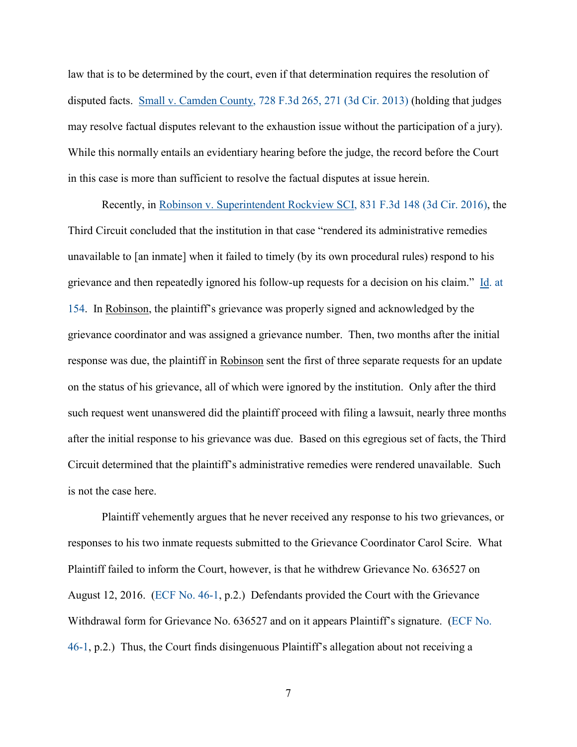law that is to be determined by the court, even if that determination requires the resolution of disputed facts. [Small v. Camden County, 728 F.3d 265, 271 \(3d Cir. 2013\)](http://www.westlaw.com/Find/default.wl?rs=kmfn4.8&vr=2.0&kmvr=2.6&FindType=Y&DB=0000506&serialnum=2031351997&kmsource=da3.0) (holding that judges may resolve factual disputes relevant to the exhaustion issue without the participation of a jury). While this normally entails an evidentiary hearing before the judge, the record before the Court in this case is more than sufficient to resolve the factual disputes at issue herein.

Recently, in [Robinson v. Superintendent Rockview SCI, 831 F.3d 148 \(3d Cir. 2016\),](http://www.westlaw.com/Find/default.wl?rs=kmfn4.8&vr=2.0&kmvr=2.6&FindType=Y&DB=0000506&serialnum=2039450728&kmsource=da3.0) the Third Circuit concluded that the institution in that case "rendered its administrative remedies unavailable to [an inmate] when it failed to timely (by its own procedural rules) respond to his grievance and then repeatedly ignored his follow-up requests for a decision on his claim." [Id. at](http://www.westlaw.com/Find/default.wl?rs=kmfn4.8&vr=2.0&kmvr=2.6&FindType=Y&DB=0000506&serialnum=2039450728&kmsource=da3.0)  [154.](http://www.westlaw.com/Find/default.wl?rs=kmfn4.8&vr=2.0&kmvr=2.6&FindType=Y&DB=0000506&serialnum=2039450728&kmsource=da3.0) In Robinson, the plaintiff's grievance was properly signed and acknowledged by the grievance coordinator and was assigned a grievance number. Then, two months after the initial response was due, the plaintiff in Robinson sent the first of three separate requests for an update on the status of his grievance, all of which were ignored by the institution. Only after the third such request went unanswered did the plaintiff proceed with filing a lawsuit, nearly three months after the initial response to his grievance was due. Based on this egregious set of facts, the Third Circuit determined that the plaintiff's administrative remedies were rendered unavailable. Such is not the case here.

Plaintiff vehemently argues that he never received any response to his two grievances, or responses to his two inmate requests submitted to the Grievance Coordinator Carol Scire. What Plaintiff failed to inform the Court, however, is that he withdrew Grievance No. 636527 on August 12, 2016. [\(ECF No. 46-1,](https://ecf.pawd.uscourts.gov/doc1/15715733046) p.2.) Defendants provided the Court with the Grievance Withdrawal form for Grievance No. 636527 and on it appears Plaintiff's signature. [\(ECF No.](https://ecf.pawd.uscourts.gov/doc1/15715733046)  [46-1,](https://ecf.pawd.uscourts.gov/doc1/15715733046) p.2.) Thus, the Court finds disingenuous Plaintiff's allegation about not receiving a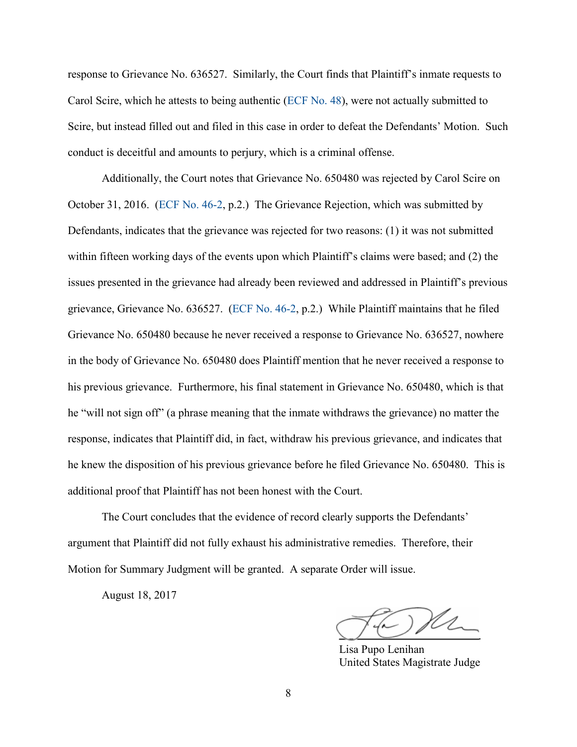response to Grievance No. 636527. Similarly, the Court finds that Plaintiff's inmate requests to Carol Scire, which he attests to being authentic [\(ECF No. 48\)](https://ecf.pawd.uscourts.gov/doc1/15715738869), were not actually submitted to Scire, but instead filled out and filed in this case in order to defeat the Defendants' Motion. Such conduct is deceitful and amounts to perjury, which is a criminal offense.

Additionally, the Court notes that Grievance No. 650480 was rejected by Carol Scire on October 31, 2016. [\(ECF No. 46-2,](https://ecf.pawd.uscourts.gov/doc1/15715733047) p.2.) The Grievance Rejection, which was submitted by Defendants, indicates that the grievance was rejected for two reasons: (1) it was not submitted within fifteen working days of the events upon which Plaintiff's claims were based; and (2) the issues presented in the grievance had already been reviewed and addressed in Plaintiff's previous grievance, Grievance No. 636527. [\(ECF No. 46-2,](https://ecf.pawd.uscourts.gov/doc1/15715733047) p.2.) While Plaintiff maintains that he filed Grievance No. 650480 because he never received a response to Grievance No. 636527, nowhere in the body of Grievance No. 650480 does Plaintiff mention that he never received a response to his previous grievance. Furthermore, his final statement in Grievance No. 650480, which is that he "will not sign off" (a phrase meaning that the inmate withdraws the grievance) no matter the response, indicates that Plaintiff did, in fact, withdraw his previous grievance, and indicates that he knew the disposition of his previous grievance before he filed Grievance No. 650480. This is additional proof that Plaintiff has not been honest with the Court.

The Court concludes that the evidence of record clearly supports the Defendants' argument that Plaintiff did not fully exhaust his administrative remedies. Therefore, their Motion for Summary Judgment will be granted. A separate Order will issue.

August 18, 2017

 $\bigcap_{\ell\in\mathbb{Z}}$  $\cup$   $\cup$   $\cdot$   $\cdot$   $\cdot$ 

Lisa Pupo Lenihan United States Magistrate Judge